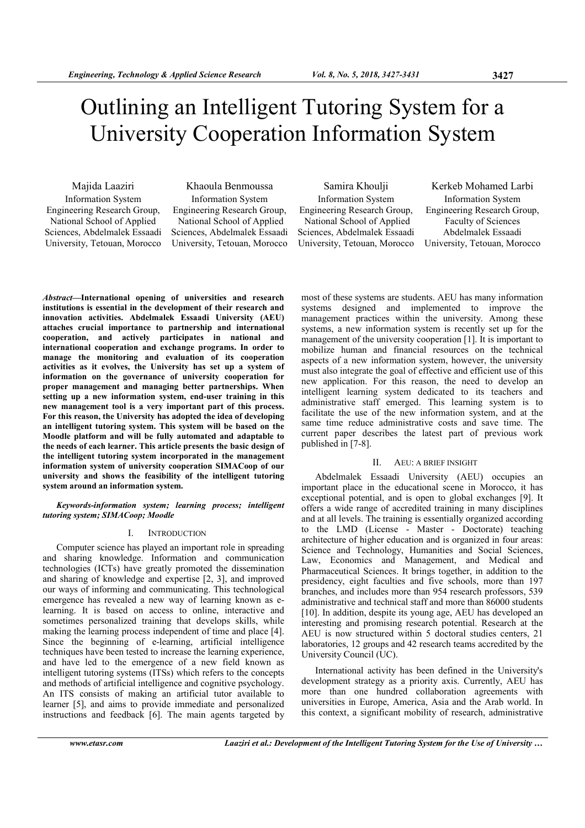# Outlining an Intelligent Tutoring System for a University Cooperation Information System

Majida Laaziri Information System Engineering Research Group, National School of Applied Sciences, Abdelmalek Essaadi University, Tetouan, Morocco

# Khaoula Benmoussa

Information System Engineering Research Group, National School of Applied Sciences, Abdelmalek Essaadi University, Tetouan, Morocco

Samira Khoulji Information System Engineering Research Group, National School of Applied Sciences, Abdelmalek Essaadi University, Tetouan, Morocco

Kerkeb Mohamed Larbi Information System Engineering Research Group, Faculty of Sciences Abdelmalek Essaadi University, Tetouan, Morocco

Abstract—International opening of universities and research institutions is essential in the development of their research and innovation activities. Abdelmalek Essaadi University (AEU) attaches crucial importance to partnership and international cooperation, and actively participates in national and international cooperation and exchange programs. In order to manage the monitoring and evaluation of its cooperation activities as it evolves, the University has set up a system of information on the governance of university cooperation for proper management and managing better partnerships. When setting up a new information system, end-user training in this new management tool is a very important part of this process. For this reason, the University has adopted the idea of developing an intelligent tutoring system. This system will be based on the Moodle platform and will be fully automated and adaptable to the needs of each learner. This article presents the basic design of the intelligent tutoring system incorporated in the management information system of university cooperation SIMACoop of our university and shows the feasibility of the intelligent tutoring system around an information system.

Keywords-information system; learning process; intelligent tutoring system; SIMACoop; Moodle

# I. INTRODUCTION

Computer science has played an important role in spreading and sharing knowledge. Information and communication technologies (ICTs) have greatly promoted the dissemination and sharing of knowledge and expertise [2, 3], and improved our ways of informing and communicating. This technological emergence has revealed a new way of learning known as elearning. It is based on access to online, interactive and sometimes personalized training that develops skills, while making the learning process independent of time and place [4]. Since the beginning of e-learning, artificial intelligence techniques have been tested to increase the learning experience, and have led to the emergence of a new field known as intelligent tutoring systems (ITSs) which refers to the concepts and methods of artificial intelligence and cognitive psychology. An ITS consists of making an artificial tutor available to learner [5], and aims to provide immediate and personalized instructions and feedback [6]. The main agents targeted by

most of these systems are students. AEU has many information systems designed and implemented to improve the management practices within the university. Among these systems, a new information system is recently set up for the management of the university cooperation [1]. It is important to mobilize human and financial resources on the technical aspects of a new information system, however, the university must also integrate the goal of effective and efficient use of this new application. For this reason, the need to develop an intelligent learning system dedicated to its teachers and administrative staff emerged. This learning system is to facilitate the use of the new information system, and at the same time reduce administrative costs and save time. The current paper describes the latest part of previous work published in [7-8].

#### II. AEU: A BRIEF INSIGHT

Abdelmalek Essaadi University (AEU) occupies an important place in the educational scene in Morocco, it has exceptional potential, and is open to global exchanges [9]. It offers a wide range of accredited training in many disciplines and at all levels. The training is essentially organized according to the LMD (License - Master - Doctorate) teaching architecture of higher education and is organized in four areas: Science and Technology, Humanities and Social Sciences, Law, Economics and Management, and Medical and Pharmaceutical Sciences. It brings together, in addition to the presidency, eight faculties and five schools, more than 197 branches, and includes more than 954 research professors, 539 administrative and technical staff and more than 86000 students [10]. In addition, despite its young age, AEU has developed an interesting and promising research potential. Research at the AEU is now structured within 5 doctoral studies centers, 21 laboratories, 12 groups and 42 research teams accredited by the University Council (UC).

International activity has been defined in the University's development strategy as a priority axis. Currently, AEU has more than one hundred collaboration agreements with universities in Europe, America, Asia and the Arab world. In this context, a significant mobility of research, administrative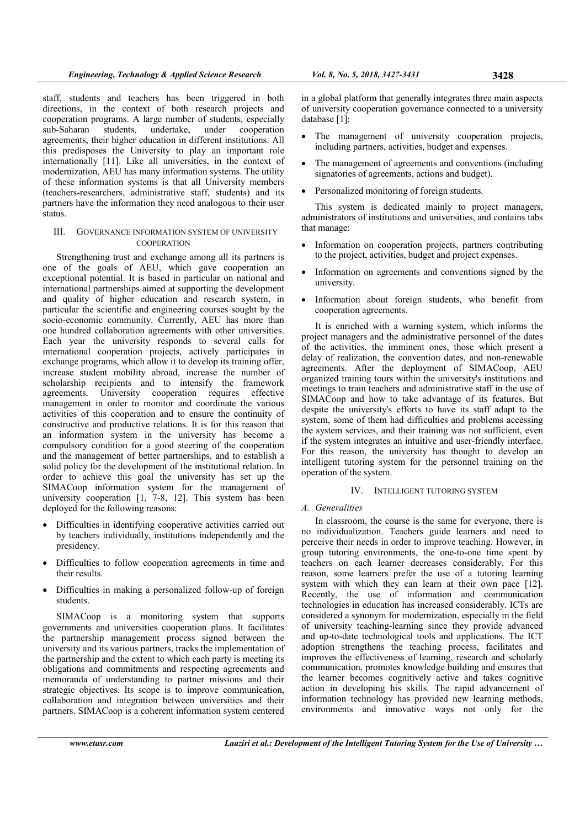staff, students and teachers has been triggered in both directions, in the context of both research projects and cooperation programs. A large number of students, especially sub-Saharan students, undertake, under cooperation agreements, their higher education in different institutions. All this predisposes the University to play an important role internationally [11]. Like all universities, in the context of modernization, AEU has many information systems. The utility of these information systems is that all University members (teachers-researchers, administrative staff, students) and its partners have the information they need analogous to their user status.

# III. GOVERNANCE INFORMATION SYSTEM OF UNIVERSITY **COOPERATION**

Strengthening trust and exchange among all its partners is one of the goals of AEU, which gave cooperation an exceptional potential. It is based in particular on national and international partnerships aimed at supporting the development and quality of higher education and research system, in particular the scientific and engineering courses sought by the socio-economic community. Currently, AEU has more than one hundred collaboration agreements with other universities. Each year the university responds to several calls for international cooperation projects, actively participates in exchange programs, which allow it to develop its training offer. increase student mobility abroad, increase the number of scholarship recipients and to intensify the framework agreements. University cooperation requires effective University cooperation requires effective management in order to monitor and coordinate the various activities of this cooperation and to ensure the continuity of constructive and productive relations. It is for this reason that an information system in the university has become a compulsory condition for a good steering of the cooperation and the management of better partnerships, and to establish a solid policy for the development of the institutional relation. In order to achieve this goal the university has set up the SIMACoop information system for the management of university cooperation [1, 7-8, 12]. This system has been deployed for the following reasons:

- Difficulties in identifying cooperative activities carried out by teachers individually, institutions independently and the presidency.
- Difficulties to follow cooperation agreements in time and their results.
- Difficulties in making a personalized follow-up of foreign students.

SIMACoop is a monitoring system that supports governments and universities cooperation plans. It facilitates the partnership management process signed between the university and its various partners, tracks the implementation of the partnership and the extent to which each party is meeting its obligations and commitments and respecting agreements and memoranda of understanding to partner missions and their strategic objectives. Its scope is to improve communication, collaboration and integration between universities and their partners. SIMACoop is a coherent information system centered

in a global platform that generally integrates three main aspects of university cooperation governance connected to a university database [1]:

- The management of university cooperation projects, including partners, activities, budget and expenses.
- The management of agreements and conventions (including signatories of agreements, actions and budget).
- Personalized monitoring of foreign students.

This system is dedicated mainly to project managers, administrators of institutions and universities, and contains tabs that manage:

- Information on cooperation projects, partners contributing to the project, activities, budget and project expenses.
- Information on agreements and conventions signed by the university.
- Information about foreign students, who benefit from cooperation agreements.

It is enriched with a warning system, which informs the project managers and the administrative personnel of the dates of the activities, the imminent ones, those which present a delay of realization, the convention dates, and non-renewable agreements. After the deployment of SIMACoop, AEU organized training tours within the university's institutions and meetings to train teachers and administrative staff in the use of SIMACoop and how to take advantage of its features. But despite the university's efforts to have its staff adapt to the system, some of them had difficulties and problems accessing the system services, and their training was not sufficient, even if the system integrates an intuitive and user-friendly interface. For this reason, the university has thought to develop an intelligent tutoring system for the personnel training on the operation of the system.

# IV. INTELLIGENT TUTORING SYSTEM

# A. Generalities

In classroom, the course is the same for everyone, there is no individualization. Teachers guide learners and need to perceive their needs in order to improve teaching. However, in group tutoring environments, the one-to-one time spent by teachers on each learner decreases considerably. For this reason, some learners prefer the use of a tutoring learning system with which they can learn at their own pace [12]. Recently, the use of information and communication technologies in education has increased considerably. ICTs are considered a synonym for modernization, especially in the field of university teaching-learning since they provide advanced and up-to-date technological tools and applications. The ICT adoption strengthens the teaching process, facilitates and improves the effectiveness of learning, research and scholarly communication, promotes knowledge building and ensures that the learner becomes cognitively active and takes cognitive action in developing his skills. The rapid advancement of information technology has provided new learning methods, environments and innovative ways not only for the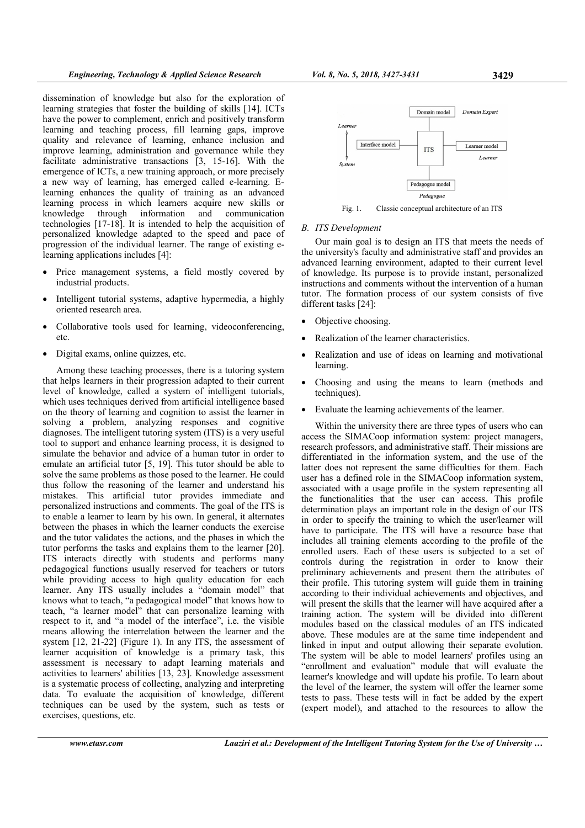dissemination of knowledge but also for the exploration of learning strategies that foster the building of skills [14]. ICTs have the power to complement, enrich and positively transform learning and teaching process, fill learning gaps, improve quality and relevance of learning, enhance inclusion and improve learning, administration and governance while they facilitate administrative transactions [3, 15-16]. With the emergence of ICTs, a new training approach, or more precisely a new way of learning, has emerged called e-learning. Elearning enhances the quality of training as an advanced learning process in which learners acquire new skills or knowledge through information and communication technologies [17-18]. It is intended to help the acquisition of personalized knowledge adapted to the speed and pace of progression of the individual learner. The range of existing elearning applications includes [4]:

- Price management systems, a field mostly covered by industrial products.
- Intelligent tutorial systems, adaptive hypermedia, a highly oriented research area.
- Collaborative tools used for learning, videoconferencing, etc.
- Digital exams, online quizzes, etc.

Among these teaching processes, there is a tutoring system that helps learners in their progression adapted to their current level of knowledge, called a system of intelligent tutorials, which uses techniques derived from artificial intelligence based on the theory of learning and cognition to assist the learner in solving a problem, analyzing responses and cognitive diagnoses. The intelligent tutoring system (ITS) is a very useful tool to support and enhance learning process, it is designed to simulate the behavior and advice of a human tutor in order to emulate an artificial tutor [5, 19]. This tutor should be able to solve the same problems as those posed to the learner. He could thus follow the reasoning of the learner and understand his mistakes. This artificial tutor provides immediate and personalized instructions and comments. The goal of the ITS is to enable a learner to learn by his own. In general, it alternates between the phases in which the learner conducts the exercise and the tutor validates the actions, and the phases in which the tutor performs the tasks and explains them to the learner [20]. ITS interacts directly with students and performs many pedagogical functions usually reserved for teachers or tutors while providing access to high quality education for each learner. Any ITS usually includes a "domain model" that knows what to teach, "a pedagogical model" that knows how to teach, "a learner model" that can personalize learning with respect to it, and "a model of the interface", i.e. the visible means allowing the interrelation between the learner and the system [12, 21-22] (Figure 1). In any ITS, the assessment of learner acquisition of knowledge is a primary task, this assessment is necessary to adapt learning materials and activities to learners' abilities [13, 23]. Knowledge assessment is a systematic process of collecting, analyzing and interpreting data. To evaluate the acquisition of knowledge, different techniques can be used by the system, such as tests or exercises, questions, etc.

Domain model Domain Expert Learner Interface model Learner model **TTS** Learner System Pedagogue model Pedagogue



### B. ITS Development

Our main goal is to design an ITS that meets the needs of the university's faculty and administrative staff and provides an advanced learning environment, adapted to their current level of knowledge. Its purpose is to provide instant, personalized instructions and comments without the intervention of a human tutor. The formation process of our system consists of five different tasks [24]:

- Objective choosing.
- Realization of the learner characteristics.
- Realization and use of ideas on learning and motivational learning.
- Choosing and using the means to learn (methods and techniques).
- Evaluate the learning achievements of the learner.

Within the university there are three types of users who can access the SIMACoop information system: project managers, research professors, and administrative staff. Their missions are differentiated in the information system, and the use of the latter does not represent the same difficulties for them. Each user has a defined role in the SIMACoop information system, associated with a usage profile in the system representing all the functionalities that the user can access. This profile determination plays an important role in the design of our ITS in order to specify the training to which the user/learner will have to participate. The ITS will have a resource base that includes all training elements according to the profile of the enrolled users. Each of these users is subjected to a set of controls during the registration in order to know their preliminary achievements and present them the attributes of their profile. This tutoring system will guide them in training according to their individual achievements and objectives, and will present the skills that the learner will have acquired after a training action. The system will be divided into different modules based on the classical modules of an ITS indicated above. These modules are at the same time independent and linked in input and output allowing their separate evolution. The system will be able to model learners' profiles using an "enrollment and evaluation" module that will evaluate the learner's knowledge and will update his profile. To learn about the level of the learner, the system will offer the learner some tests to pass. These tests will in fact be added by the expert (expert model), and attached to the resources to allow the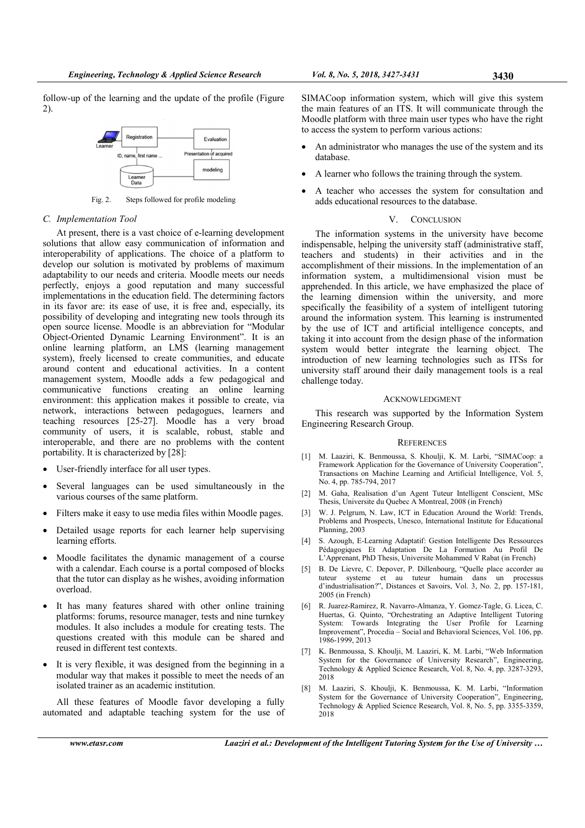follow-up of the learning and the update of the profile (Figure 2).



Fig. 2. Steps followed for profile modeling

#### C. Implementation Tool

At present, there is a vast choice of e-learning development solutions that allow easy communication of information and interoperability of applications. The choice of a platform to develop our solution is motivated by problems of maximum adaptability to our needs and criteria. Moodle meets our needs perfectly, enjoys a good reputation and many successful implementations in the education field. The determining factors in its favor are: its ease of use, it is free and, especially, its possibility of developing and integrating new tools through its open source license. Moodle is an abbreviation for "Modular Object-Oriented Dynamic Learning Environment". It is an online learning platform, an LMS (learning management system), freely licensed to create communities, and educate around content and educational activities. In a content management system, Moodle adds a few pedagogical and communicative functions creating an online learning environment: this application makes it possible to create, via network, interactions between pedagogues, learners and teaching resources [25-27]. Moodle has a very broad community of users, it is scalable, robust, stable and interoperable, and there are no problems with the content portability. It is characterized by [28]:

- User-friendly interface for all user types.
- Several languages can be used simultaneously in the various courses of the same platform.
- Filters make it easy to use media files within Moodle pages.
- Detailed usage reports for each learner help supervising learning efforts.
- Moodle facilitates the dynamic management of a course with a calendar. Each course is a portal composed of blocks that the tutor can display as he wishes, avoiding information overload.
- It has many features shared with other online training platforms: forums, resource manager, tests and nine turnkey modules. It also includes a module for creating tests. The questions created with this module can be shared and reused in different test contexts.
- It is very flexible, it was designed from the beginning in a modular way that makes it possible to meet the needs of an isolated trainer as an academic institution.

All these features of Moodle favor developing a fully automated and adaptable teaching system for the use of

SIMACoop information system, which will give this system the main features of an ITS. It will communicate through the Moodle platform with three main user types who have the right to access the system to perform various actions:

- An administrator who manages the use of the system and its database.
- A learner who follows the training through the system.
- A teacher who accesses the system for consultation and adds educational resources to the database.

## V. CONCLUSION

The information systems in the university have become indispensable, helping the university staff (administrative staff, teachers and students) in their activities and in the accomplishment of their missions. In the implementation of an information system, a multidimensional vision must be apprehended. In this article, we have emphasized the place of the learning dimension within the university, and more specifically the feasibility of a system of intelligent tutoring around the information system. This learning is instrumented by the use of ICT and artificial intelligence concepts, and taking it into account from the design phase of the information system would better integrate the learning object. The introduction of new learning technologies such as ITSs for university staff around their daily management tools is a real challenge today.

### ACKNOWLEDGMENT

This research was supported by the Information System Engineering Research Group.

#### **REFERENCES**

- [1] M. Laaziri, K. Benmoussa, S. Khoulji, K. M. Larbi, "SIMACoop: a Framework Application for the Governance of University Cooperation", Transactions on Machine Learning and Artificial Intelligence, Vol. 5, No. 4, pp. 785-794, 2017
- [2] M. Gaha, Realisation d'un Agent Tuteur Intelligent Conscient, MSc Thesis, Universite du Quebec A Montreal, 2008 (in French)
- [3] W. J. Pelgrum, N. Law, ICT in Education Around the World: Trends, Problems and Prospects, Unesco, International Institute for Educational Planning, 2003
- [4] S. Azough, E-Learning Adaptatif: Gestion Intelligente Des Ressources Pédagogiques Et Adaptation De La Formation Au Profil De L'Apprenant, PhD Thesis, Universite Mohammed V Rabat (in French)
- [5] B. De Lievre, C. Depover, P. Dillenbourg, "Quelle place accorder au tuteur systeme et au tuteur humain dans un processus d'industrialisation?", Distances et Savoirs, Vol. 3, No. 2, pp. 157-181, 2005 (in French)
- [6] R. Juarez-Ramirez, R. Navarro-Almanza, Y. Gomez-Tagle, G. Licea, C. Huertas, G. Quinto, "Orchestrating an Adaptive Intelligent Tutoring System: Towards Integrating the User Profile for Learning Improvement", Procedia – Social and Behavioral Sciences, Vol. 106, pp. 1986-1999, 2013
- [7] K. Benmoussa, S. Khoulji, M. Laaziri, K. M. Larbi, "Web Information System for the Governance of University Research", Engineering, Technology & Applied Science Research, Vol. 8, No. 4, pp. 3287-3293, 2018
- [8] M. Laaziri, S. Khoulji, K. Benmoussa, K. M. Larbi, "Information System for the Governance of University Cooperation", Engineering, Technology & Applied Science Research, Vol. 8, No. 5, pp. 3355-3359, 2018